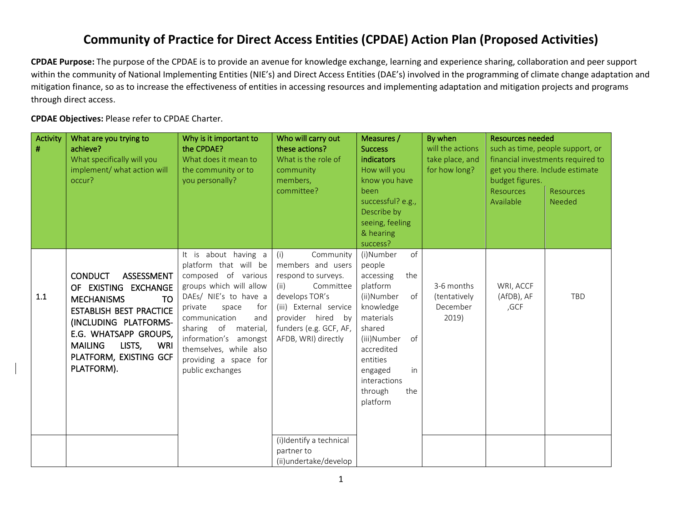## **Community of Practice for Direct Access Entities (CPDAE) Action Plan (Proposed Activities)**

**CPDAE Purpose:** The purpose of the CPDAE is to provide an avenue for knowledge exchange, learning and experience sharing, collaboration and peer support within the community of National Implementing Entities (NIE's) and Direct Access Entities (DAE's) involved in the programming of climate change adaptation and mitigation finance, so as to increase the effectiveness of entities in accessing resources and implementing adaptation and mitigation projects and programs through direct access.

**CPDAE Objectives:** Please refer to CPDAE Charter.

| <b>Activity</b><br># | What are you trying to<br>achieve?<br>What specifically will you<br>implement/ what action will<br>occur?                                                                                                                                             | Why is it important to<br>the CPDAE?<br>What does it mean to<br>the community or to<br>you personally?                                                                                                                                                                                                 | Who will carry out<br>these actions?<br>What is the role of<br>community<br>members,<br>committee?                                                                                                  | Measures /<br><b>Success</b><br>indicators<br>How will you<br>know you have<br>been<br>successful? e.g.,<br>Describe by<br>seeing, feeling<br>& hearing<br>success?                                                             | By when<br>will the actions<br>take place, and<br>for how long? | <b>Resources needed</b><br>such as time, people support, or<br>financial investments required to<br>get you there. Include estimate<br>budget figures.<br><b>Resources</b><br><b>Resources</b><br>Available<br>Needed |            |
|----------------------|-------------------------------------------------------------------------------------------------------------------------------------------------------------------------------------------------------------------------------------------------------|--------------------------------------------------------------------------------------------------------------------------------------------------------------------------------------------------------------------------------------------------------------------------------------------------------|-----------------------------------------------------------------------------------------------------------------------------------------------------------------------------------------------------|---------------------------------------------------------------------------------------------------------------------------------------------------------------------------------------------------------------------------------|-----------------------------------------------------------------|-----------------------------------------------------------------------------------------------------------------------------------------------------------------------------------------------------------------------|------------|
| 1.1                  | <b>CONDUCT</b><br>ASSESSMENT<br>OF EXISTING EXCHANGE<br><b>MECHANISMS</b><br><b>TO</b><br><b>ESTABLISH BEST PRACTICE</b><br>(INCLUDING PLATFORMS-<br>E.G. WHATSAPP GROUPS,<br><b>MAILING</b><br>LISTS,<br>WRI<br>PLATFORM, EXISTING GCF<br>PLATFORM). | It is about having a<br>platform that will be<br>composed of various<br>groups which will allow<br>DAEs/ NIE's to have a<br>private<br>space<br>for<br>communication<br>and<br>sharing of<br>material,<br>information's amongst<br>themselves, while also<br>providing a space for<br>public exchanges | Community<br>(i)<br>members and users<br>respond to surveys.<br>(ii)<br>Committee<br>develops TOR's<br>(iii) External service<br>provider hired by<br>funders (e.g. GCF, AF,<br>AFDB, WRI) directly | (i)Number<br>of<br>people<br>accessing<br>the<br>platform<br>(ii)Number<br>of<br>knowledge<br>materials<br>shared<br>of<br>(iii)Number<br>accredited<br>entities<br>in<br>engaged<br>interactions<br>through<br>the<br>platform | 3-6 months<br>(tentatively<br>December<br>2019)                 | WRI, ACCF<br>(AfDB), AF<br>,GCF                                                                                                                                                                                       | <b>TBD</b> |
|                      |                                                                                                                                                                                                                                                       |                                                                                                                                                                                                                                                                                                        | (i)Identify a technical<br>partner to<br>(ii)undertake/develop                                                                                                                                      |                                                                                                                                                                                                                                 |                                                                 |                                                                                                                                                                                                                       |            |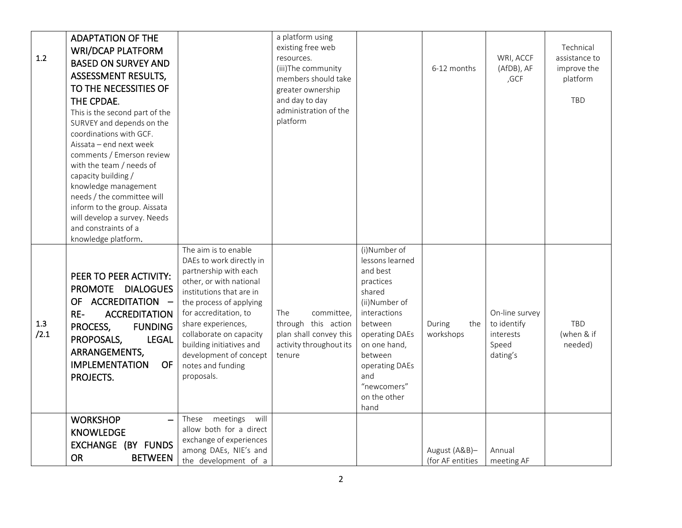| 1.2         | <b>ADAPTATION OF THE</b><br><b>WRI/DCAP PLATFORM</b><br><b>BASED ON SURVEY AND</b><br>ASSESSMENT RESULTS,<br>TO THE NECESSITIES OF<br>THE CPDAE.<br>This is the second part of the<br>SURVEY and depends on the<br>coordinations with GCF.<br>Aissata - end next week<br>comments / Emerson review<br>with the team / needs of<br>capacity building /<br>knowledge management<br>needs / the committee will<br>inform to the group. Aissata<br>will develop a survey. Needs<br>and constraints of a<br>knowledge platform. |                                                                                                                                                                                                                                                                                                                                | a platform using<br>existing free web<br>resources.<br>(iii)The community<br>members should take<br>greater ownership<br>and day to day<br>administration of the<br>platform |                                                                                                                                                                                                                             | 6-12 months                       | WRI, ACCF<br>(AfDB), AF<br>,GCF                                 | Technical<br>assistance to<br>improve the<br>platform<br><b>TBD</b> |
|-------------|----------------------------------------------------------------------------------------------------------------------------------------------------------------------------------------------------------------------------------------------------------------------------------------------------------------------------------------------------------------------------------------------------------------------------------------------------------------------------------------------------------------------------|--------------------------------------------------------------------------------------------------------------------------------------------------------------------------------------------------------------------------------------------------------------------------------------------------------------------------------|------------------------------------------------------------------------------------------------------------------------------------------------------------------------------|-----------------------------------------------------------------------------------------------------------------------------------------------------------------------------------------------------------------------------|-----------------------------------|-----------------------------------------------------------------|---------------------------------------------------------------------|
| 1.3<br>/2.1 | PEER TO PEER ACTIVITY:<br>PROMOTE DIALOGUES<br>OF ACCREDITATION -<br>$RE-$<br><b>ACCREDITATION</b><br>PROCESS,<br><b>FUNDING</b><br>PROPOSALS,<br><b>LEGAL</b><br>ARRANGEMENTS,<br><b>IMPLEMENTATION</b><br><b>OF</b><br>PROJECTS.                                                                                                                                                                                                                                                                                         | The aim is to enable<br>DAEs to work directly in<br>partnership with each<br>other, or with national<br>institutions that are in<br>the process of applying<br>for accreditation, to<br>share experiences,<br>collaborate on capacity<br>building initiatives and<br>development of concept<br>notes and funding<br>proposals. | <b>The</b><br>committee.<br>through this action<br>plan shall convey this<br>activity throughout its<br>tenure                                                               | (i)Number of<br>lessons learned<br>and best<br>practices<br>shared<br>(ii)Number of<br>interactions<br>between<br>operating DAEs<br>on one hand,<br>between<br>operating DAEs<br>and<br>"newcomers"<br>on the other<br>hand | During<br>the<br>workshops        | On-line survey<br>to identify<br>interests<br>Speed<br>dating's | TBD<br>(when & if<br>needed)                                        |
|             | <b>WORKSHOP</b><br><b>KNOWLEDGE</b><br>EXCHANGE (BY FUNDS<br><b>OR</b><br><b>BETWEEN</b>                                                                                                                                                                                                                                                                                                                                                                                                                                   | meetings<br>will<br>These<br>allow both for a direct<br>exchange of experiences<br>among DAEs, NIE's and<br>the development of a                                                                                                                                                                                               |                                                                                                                                                                              |                                                                                                                                                                                                                             | August (A&B)-<br>(for AF entities | Annual<br>meeting AF                                            |                                                                     |

2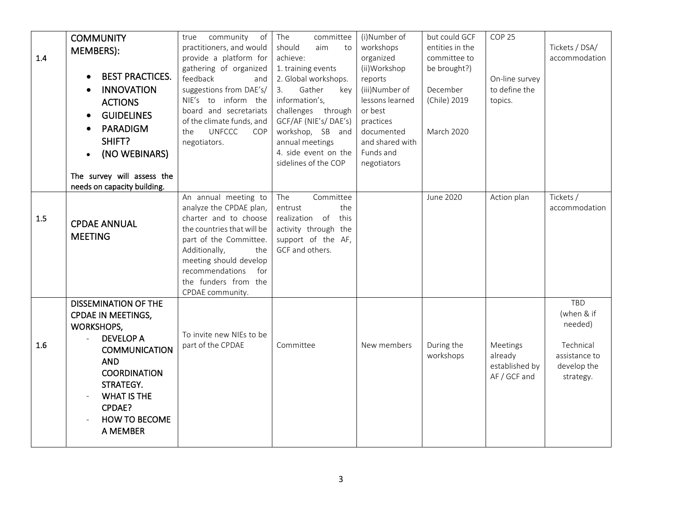| 1.4     | <b>COMMUNITY</b><br>MEMBERS):<br><b>BEST PRACTICES.</b><br><b>INNOVATION</b>                                                                                                                                                                              | community<br>of<br>true<br>practitioners, and would<br>provide a platform for<br>gathering of organized<br>feedback<br>and<br>suggestions from DAE's/                                                                                                    | The<br>committee<br>should<br>aim<br>to<br>achieve:<br>1. training events<br>2. Global workshops.<br>3.<br>Gather<br>key                            | (i)Number of<br>workshops<br>organized<br>(ii)Workshop<br>reports<br>(iii)Number of                  | but could GCF<br>entities in the<br>committee to<br>be brought?)<br>December | COP <sub>25</sub><br>On-line survey<br>to define the  | Tickets / DSA/<br>accommodation                                                               |
|---------|-----------------------------------------------------------------------------------------------------------------------------------------------------------------------------------------------------------------------------------------------------------|----------------------------------------------------------------------------------------------------------------------------------------------------------------------------------------------------------------------------------------------------------|-----------------------------------------------------------------------------------------------------------------------------------------------------|------------------------------------------------------------------------------------------------------|------------------------------------------------------------------------------|-------------------------------------------------------|-----------------------------------------------------------------------------------------------|
|         | <b>ACTIONS</b><br><b>GUIDELINES</b><br>$\bullet$<br><b>PARADIGM</b><br>SHIFT?<br>(NO WEBINARS)<br>$\bullet$<br>The survey will assess the                                                                                                                 | NIE's to inform the<br>board and secretariats<br>of the climate funds, and<br><b>UNFCCC</b><br>the<br>COP<br>negotiators.                                                                                                                                | information's,<br>challenges through<br>GCF/AF (NIE's/DAE's)<br>workshop, SB and<br>annual meetings<br>4. side event on the<br>sidelines of the COP | lessons learned<br>or best<br>practices<br>documented<br>and shared with<br>Funds and<br>negotiators | (Chile) 2019<br><b>March 2020</b>                                            | topics.                                               |                                                                                               |
|         | needs on capacity building.                                                                                                                                                                                                                               |                                                                                                                                                                                                                                                          |                                                                                                                                                     |                                                                                                      |                                                                              |                                                       |                                                                                               |
| $1.5\,$ | <b>CPDAE ANNUAL</b><br><b>MEETING</b>                                                                                                                                                                                                                     | An annual meeting to<br>analyze the CPDAE plan,<br>charter and to choose<br>the countries that will be<br>part of the Committee.<br>Additionally,<br>the<br>meeting should develop<br>recommendations<br>for<br>the funders from the<br>CPDAE community. | The<br>Committee<br>the<br>entrust<br>this<br>realization of<br>activity through the<br>support of the AF,<br>GCF and others.                       |                                                                                                      | June 2020                                                                    | Action plan                                           | Tickets /<br>accommodation                                                                    |
| 1.6     | <b>DISSEMINATION OF THE</b><br><b>CPDAE IN MEETINGS,</b><br><b>WORKSHOPS,</b><br><b>DEVELOP A</b><br>$\sim$<br><b>COMMUNICATION</b><br><b>AND</b><br><b>COORDINATION</b><br>STRATEGY.<br><b>WHAT IS THE</b><br>CPDAE?<br><b>HOW TO BECOME</b><br>A MEMBER | To invite new NIEs to be<br>part of the CPDAE                                                                                                                                                                                                            | Committee                                                                                                                                           | New members                                                                                          | During the<br>workshops                                                      | Meetings<br>already<br>established by<br>AF / GCF and | <b>TBD</b><br>(when & if<br>needed)<br>Technical<br>assistance to<br>develop the<br>strategy. |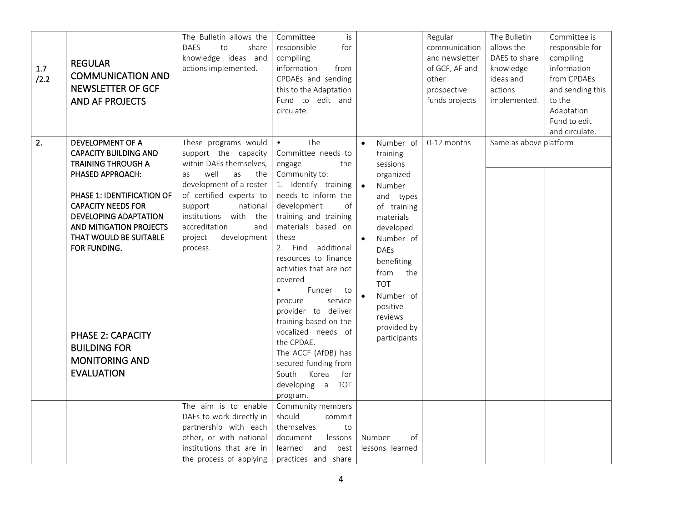| $1.7\,$<br>/2.2 | <b>REGULAR</b><br><b>COMMUNICATION AND</b><br><b>NEWSLETTER OF GCF</b><br><b>AND AF PROJECTS</b>                                                                                                                                                                                                                                                                          | The Bulletin allows the<br><b>DAES</b><br>to<br>share<br>knowledge ideas and<br>actions implemented.                                                                                                                                                                      | is<br>Committee<br>responsible<br>for<br>compiling<br>information<br>from<br>CPDAEs and sending<br>this to the Adaptation<br>Fund to edit and<br>circulate.                                                                                                                                                                                                                                                                                                                                                                                       |                                                                                                                                                                                                                                                                                                 | Regular<br>communication<br>and newsletter<br>of GCF, AF and<br>other<br>prospective<br>funds projects | The Bulletin<br>allows the<br>DAES to share<br>knowledge<br>ideas and<br>actions<br>implemented. | Committee is<br>responsible for<br>compiling<br>information<br>from CPDAEs<br>and sending this<br>to the<br>Adaptation<br>Fund to edit<br>and circulate. |
|-----------------|---------------------------------------------------------------------------------------------------------------------------------------------------------------------------------------------------------------------------------------------------------------------------------------------------------------------------------------------------------------------------|---------------------------------------------------------------------------------------------------------------------------------------------------------------------------------------------------------------------------------------------------------------------------|---------------------------------------------------------------------------------------------------------------------------------------------------------------------------------------------------------------------------------------------------------------------------------------------------------------------------------------------------------------------------------------------------------------------------------------------------------------------------------------------------------------------------------------------------|-------------------------------------------------------------------------------------------------------------------------------------------------------------------------------------------------------------------------------------------------------------------------------------------------|--------------------------------------------------------------------------------------------------------|--------------------------------------------------------------------------------------------------|----------------------------------------------------------------------------------------------------------------------------------------------------------|
| 2.              | <b>DEVELOPMENT OF A</b><br><b>CAPACITY BUILDING AND</b><br><b>TRAINING THROUGH A</b><br>PHASED APPROACH:<br>PHASE 1: IDENTIFICATION OF<br><b>CAPACITY NEEDS FOR</b><br><b>DEVELOPING ADAPTATION</b><br>AND MITIGATION PROJECTS<br>THAT WOULD BE SUITABLE<br>FOR FUNDING.<br><b>PHASE 2: CAPACITY</b><br><b>BUILDING FOR</b><br><b>MONITORING AND</b><br><b>EVALUATION</b> | These programs would<br>support the capacity<br>within DAEs themselves,<br>well<br>as<br>the<br>as<br>development of a roster<br>of certified experts to<br>support<br>national<br>institutions with<br>the<br>accreditation<br>and<br>project<br>development<br>process. | The<br>$\bullet$<br>Committee needs to<br>the<br>engage<br>Community to:<br>1. Identify training $\bullet$<br>needs to inform the<br>development<br>of<br>training and training<br>materials based on<br>these<br>2. Find additional<br>resources to finance<br>activities that are not<br>covered<br>Funder<br>$\bullet$<br>to<br>procure<br>service<br>provider to deliver<br>training based on the<br>vocalized needs of<br>the CPDAE.<br>The ACCF (AfDB) has<br>secured funding from<br>South<br>Korea<br>for<br>developing a TOT<br>program. | Number of<br>$\bullet$<br>training<br>sessions<br>organized<br>Number<br>and types<br>of training<br>materials<br>developed<br>Number of<br>$\bullet$<br><b>DAEs</b><br>benefiting<br>from<br>the<br><b>TOT</b><br>$\bullet$<br>Number of<br>positive<br>reviews<br>provided by<br>participants | 0-12 months                                                                                            | Same as above platform                                                                           |                                                                                                                                                          |
|                 |                                                                                                                                                                                                                                                                                                                                                                           | The aim is to enable<br>DAEs to work directly in<br>partnership with each<br>other, or with national<br>institutions that are in<br>the process of applying                                                                                                               | Community members<br>should<br>commit<br>themselves<br>to<br>lessons<br>document<br>best<br>learned<br>and<br>practices and share                                                                                                                                                                                                                                                                                                                                                                                                                 | Number<br>of<br>lessons learned                                                                                                                                                                                                                                                                 |                                                                                                        |                                                                                                  |                                                                                                                                                          |